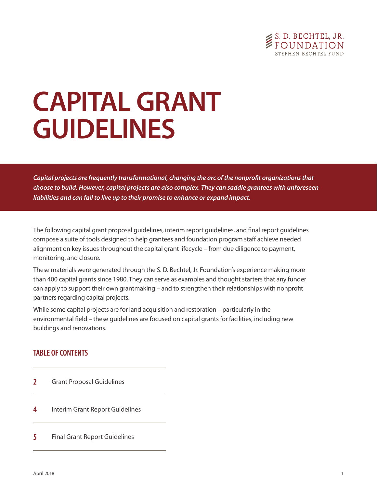

# **CAPITAL GRANT GUIDELINES**

*Capital projects are frequently transformational, changing the arc of the nonprofit organizations that choose to build. However, capital projects are also complex. They can saddle grantees with unforeseen liabilities and can fail to live up to their promise to enhance or expand impact.*

The following capital grant proposal guidelines, interim report guidelines, and final report guidelines compose a suite of tools designed to help grantees and foundation program staff achieve needed alignment on key issues throughout the capital grant lifecycle – from due diligence to payment, monitoring, and closure.

These materials were generated through the S. D. Bechtel, Jr. Foundation's experience making more than 400 capital grants since 1980. They can serve as examples and thought starters that any funder can apply to support their own grantmaking – and to strengthen their relationships with nonprofit partners regarding capital projects.

While some capital projects are for land acquisition and restoration – particularly in the environmental field – these guidelines are focused on capital grants for facilities, including new buildings and renovations.

# **TABLE OF CONTENTS**

- **2** Grant Proposal Guidelines
- **4** Interim Grant Report Guidelines
- **5** Final Grant Report Guidelines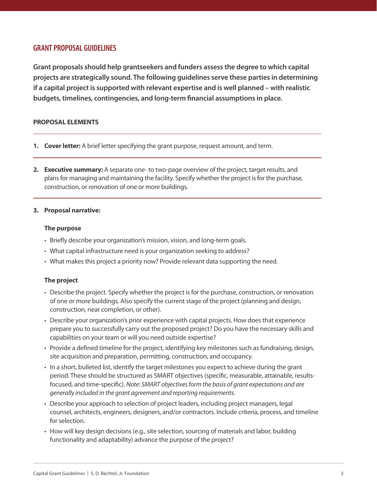## **GRANT PROPOSAL GUIDELINES**

**Grant proposals should help grantseekers and funders assess the degree to which capital projects are strategically sound. The following guidelines serve these parties in determining if a capital project is supported with relevant expertise and is well planned – with realistic budgets, timelines, contingencies, and long-term financial assumptions in place.**

## **PROPOSAL ELEMENTS**

- **1. Cover letter:** A brief letter specifying the grant purpose, request amount, and term.
- **2. Executive summary:** A separate one- to two-page overview of the project, target results, and plans for managing and maintaining the facility. Specify whether the project is for the purchase, construction, or renovation of one or more buildings.

## **3. Proposal narrative:**

## **The purpose**

- Briefly describe your organization's mission, vision, and long-term goals.
- What capital infrastructure need is your organization seeking to address?
- What makes this project a priority now? Provide relevant data supporting the need.

## **The project**

- Describe the project. Specify whether the project is for the purchase, construction, or renovation of one or more buildings. Also specify the current stage of the project (planning and design, construction, near completion, or other).
- Describe your organization's prior experience with capital projects. How does that experience prepare you to successfully carry out the proposed project? Do you have the necessary skills and capabilities on your team or will you need outside expertise?
- Provide a defined timeline for the project, identifying key milestones such as fundraising, design, site acquisition and preparation, permitting, construction, and occupancy.
- In a short, bulleted list, identify the target milestones you expect to achieve during the grant period. These should be structured as SMART objectives (specific, measurable, attainable, resultsfocused, and time-specific). *Note: SMART objectives form the basis of grant expectations and are generally included in the grant agreement and reporting requirements.*
- Describe your approach to selection of project leaders, including project managers, legal counsel, architects, engineers, designers, and/or contractors. Include criteria, process, and timeline for selection.
- How will key design decisions (e.g., site selection, sourcing of materials and labor, building functionality and adaptability) advance the purpose of the project?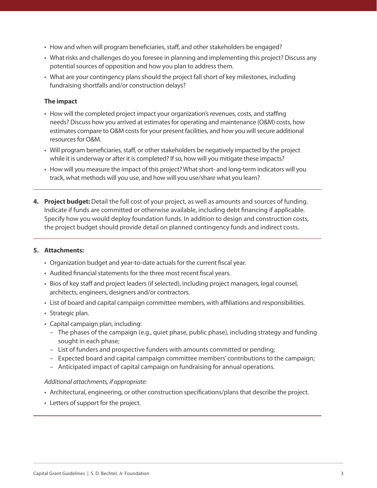- How and when will program beneficiaries, staff, and other stakeholders be engaged?
- What risks and challenges do you foresee in planning and implementing this project? Discuss any potential sources of opposition and how you plan to address them.
- What are your contingency plans should the project fall short of key milestones, including fundraising shortfalls and/or construction delays?

## **The impact**

- How will the completed project impact your organization's revenues, costs, and staffing needs? Discuss how you arrived at estimates for operating and maintenance (O&M) costs, how estimates compare to O&M costs for your present facilities, and how you will secure additional resources for O&M.
- Will program beneficiaries, staff, or other stakeholders be negatively impacted by the project while it is underway or after it is completed? If so, how will you mitigate these impacts?
- How will you measure the impact of this project? What short- and long-term indicators will you track, what methods will you use, and how will you use/share what you learn?
- **4. Project budget:** Detail the full cost of your project, as well as amounts and sources of funding. Indicate if funds are committed or otherwise available, including debt financing if applicable. Specify how you would deploy foundation funds. In addition to design and construction costs, the project budget should provide detail on planned contingency funds and indirect costs.

## **5. Attachments:**

- Organization budget and year-to-date actuals for the current fiscal year.
- Audited financial statements for the three most recent fiscal years.
- Bios of key staff and project leaders (if selected), including project managers, legal counsel, architects, engineers, designers and/or contractors.
- List of board and capital campaign committee members, with affiliations and responsibilities.
- Strategic plan.
- Capital campaign plan, including:
	- The phases of the campaign (e.g., quiet phase, public phase), including strategy and funding sought in each phase;
	- List of funders and prospective funders with amounts committed or pending;
	- Expected board and capital campaign committee members' contributions to the campaign;
	- Anticipated impact of capital campaign on fundraising for annual operations.

## *Additional attachments, if appropriate:*

- Architectural, engineering, or other construction specifications/plans that describe the project.
- Letters of support for the project.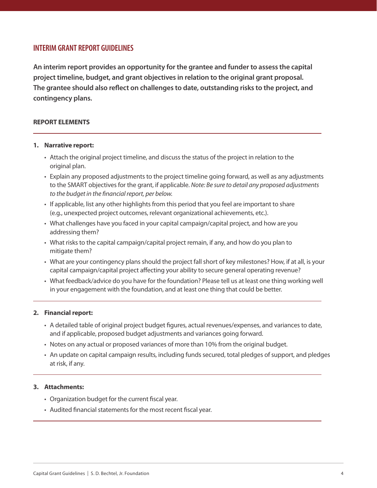## **INTERIM GRANT REPORT GUIDELINES**

**An interim report provides an opportunity for the grantee and funder to assess the capital project timeline, budget, and grant objectives in relation to the original grant proposal. The grantee should also reflect on challenges to date, outstanding risks to the project, and contingency plans.**

## **REPORT ELEMENTS**

#### **1. Narrative report:**

- Attach the original project timeline, and discuss the status of the project in relation to the original plan.
- Explain any proposed adjustments to the project timeline going forward, as well as any adjustments to the SMART objectives for the grant, if applicable. *Note: Be sure to detail any proposed adjustments to the budget in the financial report, per below.*
- If applicable, list any other highlights from this period that you feel are important to share (e.g., unexpected project outcomes, relevant organizational achievements, etc.).
- What challenges have you faced in your capital campaign/capital project, and how are you addressing them?
- What risks to the capital campaign/capital project remain, if any, and how do you plan to mitigate them?
- What are your contingency plans should the project fall short of key milestones? How, if at all, is your capital campaign/capital project affecting your ability to secure general operating revenue?
- What feedback/advice do you have for the foundation? Please tell us at least one thing working well in your engagement with the foundation, and at least one thing that could be better.

## **2. Financial report:**

- A detailed table of original project budget figures, actual revenues/expenses, and variances to date, and if applicable, proposed budget adjustments and variances going forward.
- Notes on any actual or proposed variances of more than 10% from the original budget.
- An update on capital campaign results, including funds secured, total pledges of support, and pledges at risk, if any.

## **3. Attachments:**

- Organization budget for the current fiscal year.
- Audited financial statements for the most recent fiscal year.